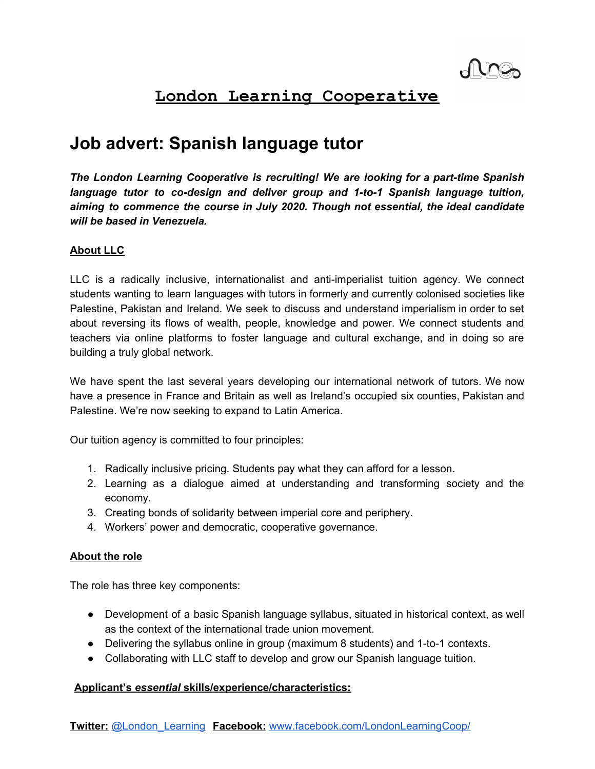# **London Learning Cooperative**

# **Job advert: Spanish language tutor**

*The London Learning Cooperative is recruiting! We are looking for a part-time Spanish language tutor to co-design and deliver group and 1-to-1 Spanish language tuition, aiming to commence the course in July 2020. Though not essential, the ideal candidate will be based in Venezuela.*

# **About LLC**

LLC is a radically inclusive, internationalist and anti-imperialist tuition agency. We connect students wanting to learn languages with tutors in formerly and currently colonised societies like Palestine, Pakistan and Ireland. We seek to discuss and understand imperialism in order to set about reversing its flows of wealth, people, knowledge and power. We connect students and teachers via online platforms to foster language and cultural exchange, and in doing so are building a truly global network.

We have spent the last several years developing our international network of tutors. We now have a presence in France and Britain as well as Ireland's occupied six counties, Pakistan and Palestine. We're now seeking to expand to Latin America.

Our tuition agency is committed to four principles:

- 1. Radically inclusive pricing. Students pay what they can afford for a lesson.
- 2. Learning as a dialogue aimed at understanding and transforming society and the economy.
- 3. Creating bonds of solidarity between imperial core and periphery.
- 4. Workers' power and democratic, cooperative governance.

## **About the role**

The role has three key components:

- Development of a basic Spanish language syllabus, situated in historical context, as well as the context of the international trade union movement.
- Delivering the syllabus online in group (maximum 8 students) and 1-to-1 contexts.
- Collaborating with LLC staff to develop and grow our Spanish language tuition.

# **Applicant's** *essential* **skills/experience/characteristics:**